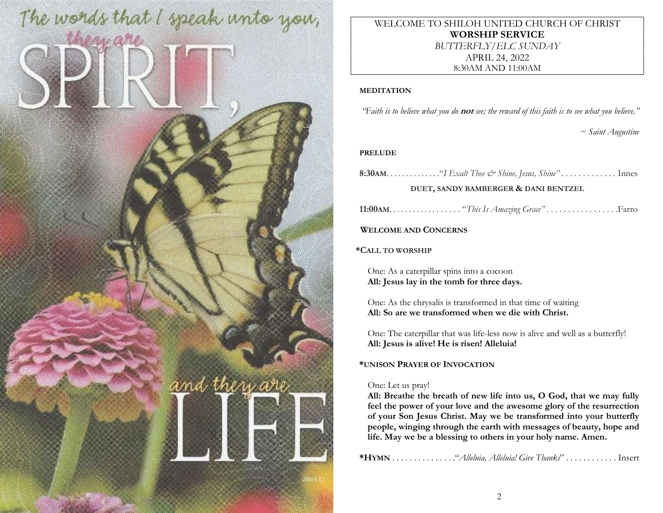

WELCOME TO SHILOH UNITED CHURCH OF CHRIST WORSHIP SERVICE BUTTERFLY/ELC SUNDAY APRIL 24, 2022 8:30AM AND 11:00AM

### MEDITATION

"Faith is to believe what you do **not** see; the reward of this faith is to see what you believe."

~ Saint Augustine

### PRELUDE

8:30AM. . . . . . . . . . . . . ."I Exalt Thee & Shine, Jesus, Shine" . . . . . . . . . . . . . Innes

### DUET, SANDY BAMBERGER & DANI BENTZEL

11:00AM. . . . . . . . . . . . . . . . . . "This Is Amazing Grace" . . . . . . . . . . . . . . . . .Farro

WELCOME AND CONCERNS

\*CALL TO WORSHIP

One: As a caterpillar spins into a cocoon All: Jesus lay in the tomb for three days.

One: As the chrysalis is transformed in that time of waiting All: So are we transformed when we die with Christ.

One: The caterpillar that was life-less now is alive and well as a butterfly! All: Jesus is alive! He is risen! Alleluia!

# \*UNISON PRAYER OF INVOCATION

# One: Let us pray!

All: Breathe the breath of new life into us, O God, that we may fully feel the power of your love and the awesome glory of the resurrection of your Son Jesus Christ. May we be transformed into your butterfly people, winging through the earth with messages of beauty, hope and life. May we be a blessing to others in your holy name. Amen.

\*HYMN . . . . . . . . . . . . . . ."Alleluia, Alleluia! Give Thanks" . . . . . . . . . . . . Insert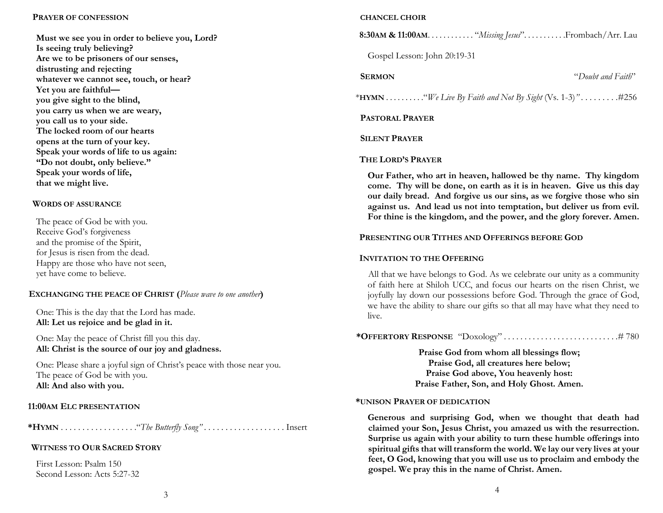#### PRAYER OF CONFESSION

Must we see you in order to believe you, Lord? Is seeing truly believing? Are we to be prisoners of our senses, distrusting and rejecting whatever we cannot see, touch, or hear? Yet you are faithful you give sight to the blind, you carry us when we are weary, you call us to your side. The locked room of our hearts opens at the turn of your key. Speak your words of life to us again: "Do not doubt, only believe." Speak your words of life, that we might live.

### WORDS OF ASSURANCE

| The peace of God be with you.      |
|------------------------------------|
| Receive God's forgiveness          |
| and the promise of the Spirit,     |
| for Jesus is risen from the dead.  |
| Happy are those who have not seen, |
| yet have come to believe.          |

# EXCHANGING THE PEACE OF CHRIST (Please wave to one another)

One: This is the day that the Lord has made. All: Let us rejoice and be glad in it.

One: May the peace of Christ fill you this day. All: Christ is the source of our joy and gladness.

One: Please share a joyful sign of Christ's peace with those near you. The peace of God be with you. All: And also with you.

### 11:00AM ELC PRESENTATION

\*HYMN . . . . . . . . . . . . . . . . . ."The Butterfly Song" . . . . . . . . . . . . . . . . . . . Insert

# WITNESS TO OUR SACRED STORY

First Lesson: Psalm 150 Second Lesson: Acts 5:27-32

#### CHANCEL CHOIR

8:30AM & 11:00AM. . . . . . . . . . . . "Missing Jesus". . . . . . . . . . . Frombach/Arr. Lau

Gospel Lesson: John 20:19-31

SERMON "Doubt and Faith"

\* $HYMN$ ..........."We Live By Faith and Not By Sight (Vs. 1-3)".............#256

### PASTORAL PRAYER

### SILENT PRAYER

#### THE LORD'S PRAYER

Our Father, who art in heaven, hallowed be thy name. Thy kingdom come. Thy will be done, on earth as it is in heaven. Give us this day our daily bread. And forgive us our sins, as we forgive those who sin against us. And lead us not into temptation, but deliver us from evil. For thine is the kingdom, and the power, and the glory forever. Amen.

### PRESENTING OUR TITHES AND OFFERINGS BEFORE GOD

#### INVITATION TO THE OFFERING

All that we have belongs to God. As we celebrate our unity as a community of faith here at Shiloh UCC, and focus our hearts on the risen Christ, we joyfully lay down our possessions before God. Through the grace of God, we have the ability to share our gifts so that all may have what they need to live.

\*OFFERTORY RESPONSE "Doxology" . . . . . . . . . . . . . . . . . . . . . . . . . . . .# 780

Praise God from whom all blessings flow; Praise God, all creatures here below; Praise God above, You heavenly host: Praise Father, Son, and Holy Ghost. Amen.

#### \*UNISON PRAYER OF DEDICATION

Generous and surprising God, when we thought that death had claimed your Son, Jesus Christ, you amazed us with the resurrection. Surprise us again with your ability to turn these humble offerings into spiritual gifts that will transform the world. We lay our very lives at your feet, O God, knowing that you will use us to proclaim and embody the gospel. We pray this in the name of Christ. Amen.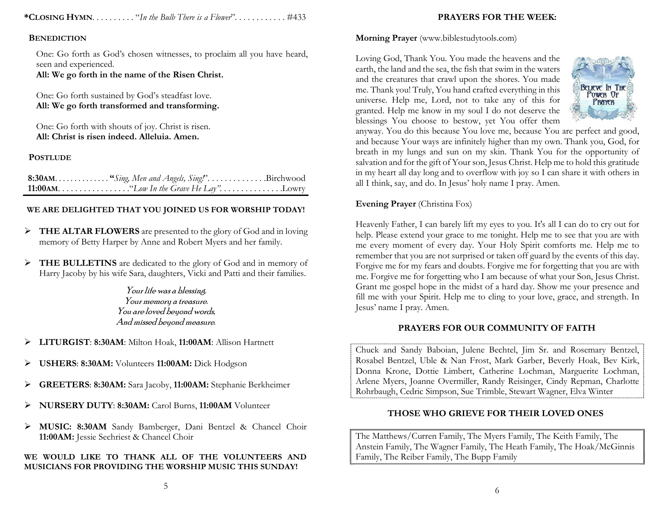\*CLOSING HYMN. . . . . . . . . . "In the Bulb There is a Flower". . . . . . . . . . . . #433

### **BENEDICTION**

One: Go forth as God's chosen witnesses, to proclaim all you have heard, seen and experienced. All: We go forth in the name of the Risen Christ.

One: Go forth sustained by God's steadfast love. All: We go forth transformed and transforming.

One: Go forth with shouts of joy. Christ is risen. All: Christ is risen indeed. Alleluia. Amen.

**POSTLUDE** 

| 8:30AM "Sing, Men and Angels, Sing!"Birchwood |  |
|-----------------------------------------------|--|
|                                               |  |

# WE ARE DELIGHTED THAT YOU JOINED US FOR WORSHIP TODAY!

- FREE ALTAR FLOWERS are presented to the glory of God and in loving memory of Betty Harper by Anne and Robert Myers and her family.
- > THE BULLETINS are dedicated to the glory of God and in memory of Harry Jacoby by his wife Sara, daughters, Vicki and Patti and their families.

Your life was a blessing. Your memory a treasure. You are loved beyond words, And missed beyond measure.

- > LITURGIST: 8:30AM: Milton Hoak, 11:00AM: Allison Hartnett
- USHERS: 8:30AM: Volunteers 11:00AM: Dick Hodgson
- GREETERS: 8:30AM: Sara Jacoby, 11:00AM: Stephanie Berkheimer
- NURSERY DUTY: 8:30AM: Carol Burns, 11:00AM Volunteer
- MUSIC: 8:30AM Sandy Bamberger, Dani Bentzel & Chancel Choir 11:00AM: Jessie Sechriest & Chancel Choir

### WE WOULD LIKE TO THANK ALL OF THE VOLUNTEERS AND MUSICIANS FOR PROVIDING THE WORSHIP MUSIC THIS SUNDAY!

# PRAYERS FOR THE WEEK:

### Morning Prayer (www.biblestudytools.com)

Loving God, Thank You. You made the heavens and the earth, the land and the sea, the fish that swim in the waters and the creatures that crawl upon the shores. You made me. Thank you! Truly, You hand crafted everything in this universe. Help me, Lord, not to take any of this for granted. Help me know in my soul I do not deserve the blessings You choose to bestow, yet You offer them



anyway. You do this because You love me, because You are perfect and good, and because Your ways are infinitely higher than my own. Thank you, God, for breath in my lungs and sun on my skin. Thank You for the opportunity of salvation and for the gift of Your son, Jesus Christ. Help me to hold this gratitude in my heart all day long and to overflow with joy so I can share it with others in all I think, say, and do. In Jesus' holy name I pray. Amen.

# Evening Prayer (Christina Fox)

Heavenly Father, I can barely lift my eyes to you. It's all I can do to cry out for help. Please extend your grace to me tonight. Help me to see that you are with me every moment of every day. Your Holy Spirit comforts me. Help me to remember that you are not surprised or taken off guard by the events of this day. Forgive me for my fears and doubts. Forgive me for forgetting that you are with me. Forgive me for forgetting who I am because of what your Son, Jesus Christ. Grant me gospel hope in the midst of a hard day. Show me your presence and fill me with your Spirit. Help me to cling to your love, grace, and strength. In Jesus' name I pray. Amen.

# PRAYERS FOR OUR COMMUNITY OF FAITH

Chuck and Sandy Baboian, Julene Bechtel, Jim Sr. and Rosemary Bentzel, Rosabel Bentzel, Uble & Nan Frost, Mark Garber, Beverly Hoak, Bev Kirk, Donna Krone, Dottie Limbert, Catherine Lochman, Marguerite Lochman, Arlene Myers, Joanne Overmiller, Randy Reisinger, Cindy Repman, Charlotte Rohrbaugh, Cedric Simpson, Sue Trimble, Stewart Wagner, Elva Winter

# THOSE WHO GRIEVE FOR THEIR LOVED ONES

The Matthews/Curren Family, The Myers Family, The Keith Family, The Anstein Family, The Wagner Family, The Heath Family, The Hoak/McGinnis Family, The Reiber Family, The Bupp Family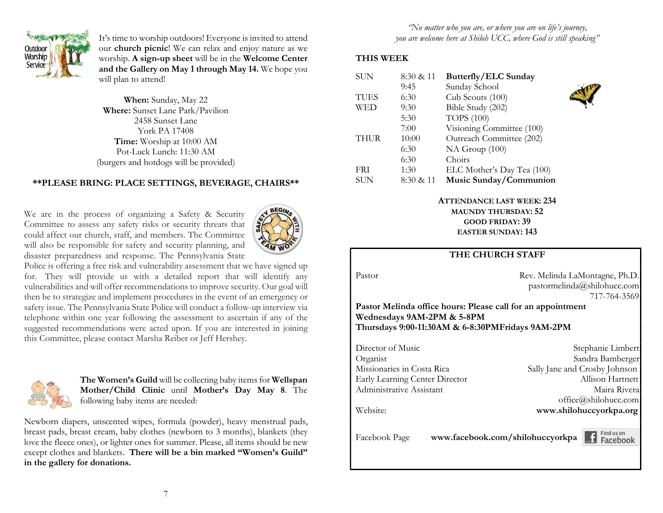

It's time to worship outdoors! Everyone is invited to attend our church picnic! We can relax and enjoy nature as we worship. A sign-up sheet will be in the Welcome Center and the Gallery on May 1 through May 14. We hope you will plan to attend!

When: Sunday, May 22 Where: Sunset Lane Park/Pavilion 2458 Sunset Lane York PA 17408 Time: Worship at 10:00 AM Pot-Luck Lunch: 11:30 AM (burgers and hotdogs will be provided)

# \*\*PLEASE BRING: PLACE SETTINGS, BEVERAGE, CHAIRS\*\*

We are in the process of organizing a Safety & Security Committee to assess any safety risks or security threats that could affect our church, staff, and members. The Committee will also be responsible for safety and security planning, and disaster preparedness and response. The Pennsylvania State



Police is offering a free risk and vulnerability assessment that we have signed up for. They will provide us with a detailed report that will identify any vulnerabilities and will offer recommendations to improve security. Our goal will then be to strategize and implement procedures in the event of an emergency or safety issue. The Pennsylvania State Police will conduct a follow-up interview via telephone within one year following the assessment to ascertain if any of the suggested recommendations were acted upon. If you are interested in joining this Committee, please contact Marsha Reiber or Jeff Hershey.



The Women's Guild will be collecting baby items for Wellspan Mother/Child Clinic until Mother's Day May 8. The following baby items are needed:

Newborn diapers, unscented wipes, formula (powder), heavy menstrual pads, breast pads, breast cream, baby clothes (newborn to 3 months), blankets (they love the fleece ones), or lighter ones for summer. Please, all items should be new except clothes and blankets. There will be a bin marked "Women's Guild" in the gallery for donations.

"No matter who you are, or where you are on life's journey, you are welcome here at Shiloh UCC, where God is still speaking"

# THIS WEEK

| <b>SUN</b>  | 8:30 & 11 | <b>Butterfly/ELC Sunday</b> |  |
|-------------|-----------|-----------------------------|--|
|             | 9:45      | Sunday School               |  |
| <b>TUES</b> | 6:30      | Cub Scouts (100)            |  |
| WED         | 9:30      | Bible Study (202)           |  |
|             | 5:30      | <b>TOPS</b> (100)           |  |
|             | 7:00      | Visioning Committee (100)   |  |
| <b>THUR</b> | 10:00     | Outreach Committee (202)    |  |
|             | 6:30      | NA Group (100)              |  |
|             | 6:30      | Choirs                      |  |
| <b>FRI</b>  | 1:30      | ELC Mother's Day Tea (100)  |  |
| SUN         | 8:30 & 11 | Music Sunday/Communion      |  |

ATTENDANCE LAST WEEK: 234 MAUNDY THURSDAY: 52

> GOOD FRIDAY: 39 EASTER SUNDAY: 143

### THE CHURCH STAFF

Pastor Rev. Melinda LaMontagne, Ph.D. pastormelinda@shilohucc.com 717-764-3569

Pastor Melinda office hours: Please call for an appointment Wednesdays 9AM-2PM & 5-8PM Thursdays 9:00-11:30AM & 6-8:30PMFridays 9AM-2PM

Director of Music Stephanie Limbert Organist Sandra Bamberger Missionaries in Costa Rica Sally Jane and Crosby Johnson Early Learning Center Director Allison Hartnett Administrative Assistant Maira Rivera office@shilohucc.com Website: www.shilohuccyorkpa.org

Facebook Page www.facebook.com/shilohuccyorkpa